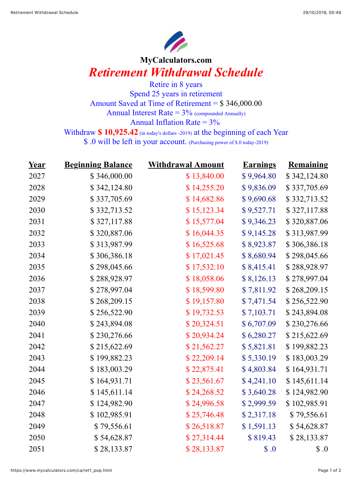

## **MyCalculators.com** *Retirement Withdrawal Schedule*

Retire in 8 years Spend 25 years in retirement Amount Saved at Time of Retirement = \$ 346,000.00 Annual Interest Rate  $= 3\%$  (compounded Annually) Annual Inflation Rate  $= 3\%$ 

Withdraw **\$ 10,925.42** (in today's dollars -2019) at the beginning of each Year

\$ .0 will be left in your account. (Purchasing power of \$.0 today-2019)

| <u>Year</u> | <b>Beginning Balance</b> | <b>Withdrawal Amount</b> | <b>Earnings</b> | <b>Remaining</b> |
|-------------|--------------------------|--------------------------|-----------------|------------------|
| 2027        | \$346,000.00             | \$13,840.00              | \$9,964.80      | \$342,124.80     |
| 2028        | \$342,124.80             | \$14,255.20              | \$9,836.09      | \$337,705.69     |
| 2029        | \$337,705.69             | \$14,682.86              | \$9,690.68      | \$332,713.52     |
| 2030        | \$332,713.52             | \$15,123.34              | \$9,527.71      | \$327,117.88     |
| 2031        | \$327,117.88             | \$15,577.04              | \$9,346.23      | \$320,887.06     |
| 2032        | \$320,887.06             | \$16,044.35              | \$9,145.28      | \$313,987.99     |
| 2033        | \$313,987.99             | \$16,525.68              | \$8,923.87      | \$306,386.18     |
| 2034        | \$306,386.18             | \$17,021.45              | \$8,680.94      | \$298,045.66     |
| 2035        | \$298,045.66             | \$17,532.10              | \$8,415.41      | \$288,928.97     |
| 2036        | \$288,928.97             | \$18,058.06              | \$8,126.13      | \$278,997.04     |
| 2037        | \$278,997.04             | \$18,599.80              | \$7,811.92      | \$268,209.15     |
| 2038        | \$268,209.15             | \$19,157.80              | \$7,471.54      | \$256,522.90     |
| 2039        | \$256,522.90             | \$19,732.53              | \$7,103.71      | \$243,894.08     |
| 2040        | \$243,894.08             | \$20,324.51              | \$6,707.09      | \$230,276.66     |
| 2041        | \$230,276.66             | \$20,934.24              | \$6,280.27      | \$215,622.69     |
| 2042        | \$215,622.69             | \$21,562.27              | \$5,821.81      | \$199,882.23     |
| 2043        | \$199,882.23             | \$22,209.14              | \$5,330.19      | \$183,003.29     |
| 2044        | \$183,003.29             | \$22,875.41              | \$4,803.84      | \$164,931.71     |
| 2045        | \$164,931.71             | \$23,561.67              | \$4,241.10      | \$145,611.14     |
| 2046        | \$145,611.14             | \$24,268.52              | \$3,640.28      | \$124,982.90     |
| 2047        | \$124,982.90             | \$24,996.58              | \$2,999.59      | \$102,985.91     |
| 2048        | \$102,985.91             | \$25,746.48              | \$2,317.18      | \$79,556.61      |
| 2049        | \$79,556.61              | \$26,518.87              | \$1,591.13      | \$54,628.87      |
| 2050        | \$54,628.87              | \$27,314.44              | \$819.43        | \$28,133.87      |
| 2051        | \$28,133.87              | \$28,133.87              | \$.0            | $\$\,0$          |